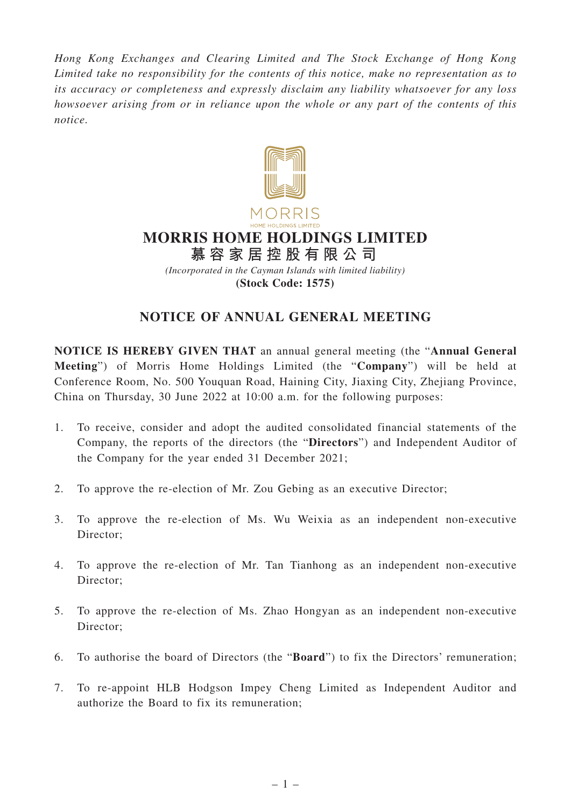*Hong Kong Exchanges and Clearing Limited and The Stock Exchange of Hong Kong Limited take no responsibility for the contents of this notice, make no representation as to its accuracy or completeness and expressly disclaim any liability whatsoever for any loss howsoever arising from or in reliance upon the whole or any part of the contents of this notice.*



# **MORRIS HOME HOLDINGS LIMITED**

**慕容家居控股有限公司** *(Incorporated in the Cayman Islands with limited liability)* **(Stock Code: 1575)**

## **NOTICE OF ANNUAL GENERAL MEETING**

**NOTICE IS HEREBY GIVEN THAT** an annual general meeting (the "**Annual General Meeting**") of Morris Home Holdings Limited (the "**Company**") will be held at Conference Room, No. 500 Youquan Road, Haining City, Jiaxing City, Zhejiang Province, China on Thursday, 30 June 2022 at 10:00 a.m. for the following purposes:

- 1. To receive, consider and adopt the audited consolidated financial statements of the Company, the reports of the directors (the "**Directors**") and Independent Auditor of the Company for the year ended 31 December 2021;
- 2. To approve the re-election of Mr. Zou Gebing as an executive Director;
- 3. To approve the re-election of Ms. Wu Weixia as an independent non-executive Director;
- 4. To approve the re-election of Mr. Tan Tianhong as an independent non-executive Director;
- 5. To approve the re-election of Ms. Zhao Hongyan as an independent non-executive Director:
- 6. To authorise the board of Directors (the "**Board**") to fix the Directors' remuneration;
- 7. To re-appoint HLB Hodgson Impey Cheng Limited as Independent Auditor and authorize the Board to fix its remuneration;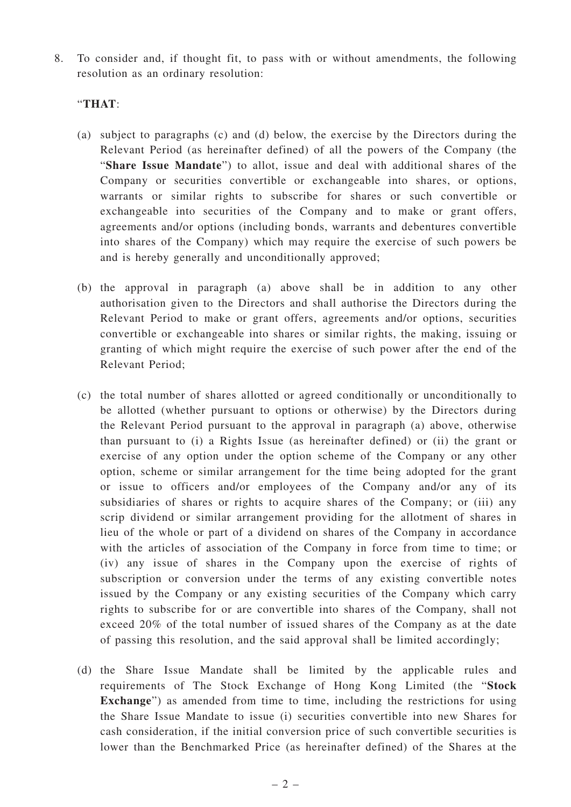8. To consider and, if thought fit, to pass with or without amendments, the following resolution as an ordinary resolution:

#### "**THAT**:

- (a) subject to paragraphs (c) and (d) below, the exercise by the Directors during the Relevant Period (as hereinafter defined) of all the powers of the Company (the "**Share Issue Mandate**") to allot, issue and deal with additional shares of the Company or securities convertible or exchangeable into shares, or options, warrants or similar rights to subscribe for shares or such convertible or exchangeable into securities of the Company and to make or grant offers, agreements and/or options (including bonds, warrants and debentures convertible into shares of the Company) which may require the exercise of such powers be and is hereby generally and unconditionally approved;
- (b) the approval in paragraph (a) above shall be in addition to any other authorisation given to the Directors and shall authorise the Directors during the Relevant Period to make or grant offers, agreements and/or options, securities convertible or exchangeable into shares or similar rights, the making, issuing or granting of which might require the exercise of such power after the end of the Relevant Period;
- (c) the total number of shares allotted or agreed conditionally or unconditionally to be allotted (whether pursuant to options or otherwise) by the Directors during the Relevant Period pursuant to the approval in paragraph (a) above, otherwise than pursuant to (i) a Rights Issue (as hereinafter defined) or (ii) the grant or exercise of any option under the option scheme of the Company or any other option, scheme or similar arrangement for the time being adopted for the grant or issue to officers and/or employees of the Company and/or any of its subsidiaries of shares or rights to acquire shares of the Company; or (iii) any scrip dividend or similar arrangement providing for the allotment of shares in lieu of the whole or part of a dividend on shares of the Company in accordance with the articles of association of the Company in force from time to time; or (iv) any issue of shares in the Company upon the exercise of rights of subscription or conversion under the terms of any existing convertible notes issued by the Company or any existing securities of the Company which carry rights to subscribe for or are convertible into shares of the Company, shall not exceed 20% of the total number of issued shares of the Company as at the date of passing this resolution, and the said approval shall be limited accordingly;
- (d) the Share Issue Mandate shall be limited by the applicable rules and requirements of The Stock Exchange of Hong Kong Limited (the "**Stock Exchange**") as amended from time to time, including the restrictions for using the Share Issue Mandate to issue (i) securities convertible into new Shares for cash consideration, if the initial conversion price of such convertible securities is lower than the Benchmarked Price (as hereinafter defined) of the Shares at the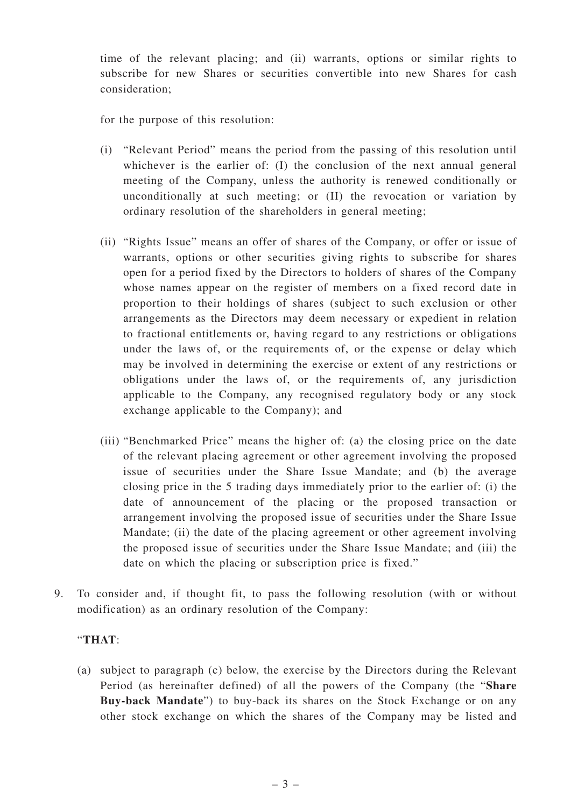time of the relevant placing; and (ii) warrants, options or similar rights to subscribe for new Shares or securities convertible into new Shares for cash consideration;

for the purpose of this resolution:

- (i) "Relevant Period" means the period from the passing of this resolution until whichever is the earlier of: (I) the conclusion of the next annual general meeting of the Company, unless the authority is renewed conditionally or unconditionally at such meeting; or (II) the revocation or variation by ordinary resolution of the shareholders in general meeting;
- (ii) "Rights Issue" means an offer of shares of the Company, or offer or issue of warrants, options or other securities giving rights to subscribe for shares open for a period fixed by the Directors to holders of shares of the Company whose names appear on the register of members on a fixed record date in proportion to their holdings of shares (subject to such exclusion or other arrangements as the Directors may deem necessary or expedient in relation to fractional entitlements or, having regard to any restrictions or obligations under the laws of, or the requirements of, or the expense or delay which may be involved in determining the exercise or extent of any restrictions or obligations under the laws of, or the requirements of, any jurisdiction applicable to the Company, any recognised regulatory body or any stock exchange applicable to the Company); and
- (iii) "Benchmarked Price" means the higher of: (a) the closing price on the date of the relevant placing agreement or other agreement involving the proposed issue of securities under the Share Issue Mandate; and (b) the average closing price in the 5 trading days immediately prior to the earlier of: (i) the date of announcement of the placing or the proposed transaction or arrangement involving the proposed issue of securities under the Share Issue Mandate; (ii) the date of the placing agreement or other agreement involving the proposed issue of securities under the Share Issue Mandate; and (iii) the date on which the placing or subscription price is fixed."
- 9. To consider and, if thought fit, to pass the following resolution (with or without modification) as an ordinary resolution of the Company:

### "**THAT**:

(a) subject to paragraph (c) below, the exercise by the Directors during the Relevant Period (as hereinafter defined) of all the powers of the Company (the "**Share Buy-back Mandate**") to buy-back its shares on the Stock Exchange or on any other stock exchange on which the shares of the Company may be listed and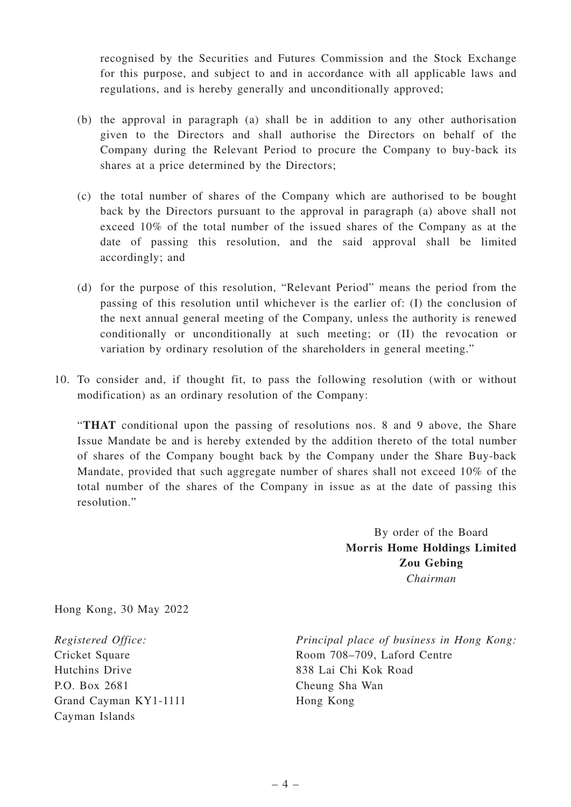recognised by the Securities and Futures Commission and the Stock Exchange for this purpose, and subject to and in accordance with all applicable laws and regulations, and is hereby generally and unconditionally approved;

- (b) the approval in paragraph (a) shall be in addition to any other authorisation given to the Directors and shall authorise the Directors on behalf of the Company during the Relevant Period to procure the Company to buy-back its shares at a price determined by the Directors;
- (c) the total number of shares of the Company which are authorised to be bought back by the Directors pursuant to the approval in paragraph (a) above shall not exceed 10% of the total number of the issued shares of the Company as at the date of passing this resolution, and the said approval shall be limited accordingly; and
- (d) for the purpose of this resolution, "Relevant Period" means the period from the passing of this resolution until whichever is the earlier of: (I) the conclusion of the next annual general meeting of the Company, unless the authority is renewed conditionally or unconditionally at such meeting; or (II) the revocation or variation by ordinary resolution of the shareholders in general meeting."
- 10. To consider and, if thought fit, to pass the following resolution (with or without modification) as an ordinary resolution of the Company:

"**THAT** conditional upon the passing of resolutions nos. 8 and 9 above, the Share Issue Mandate be and is hereby extended by the addition thereto of the total number of shares of the Company bought back by the Company under the Share Buy-back Mandate, provided that such aggregate number of shares shall not exceed 10% of the total number of the shares of the Company in issue as at the date of passing this resolution."

> By order of the Board **Morris Home Holdings Limited Zou Gebing** *Chairman*

Hong Kong, 30 May 2022

*Registered Office:* Cricket Square Hutchins Drive P.O. Box 2681 Grand Cayman KY1-1111 Cayman Islands

*Principal place of business in Hong Kong:* Room 708–709, Laford Centre 838 Lai Chi Kok Road Cheung Sha Wan Hong Kong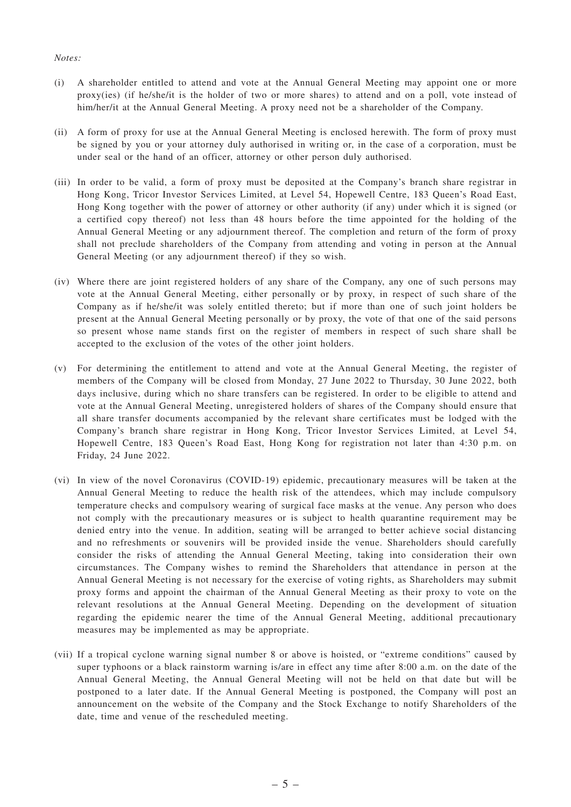#### *Notes:*

- (i) A shareholder entitled to attend and vote at the Annual General Meeting may appoint one or more proxy(ies) (if he/she/it is the holder of two or more shares) to attend and on a poll, vote instead of him/her/it at the Annual General Meeting. A proxy need not be a shareholder of the Company.
- (ii) A form of proxy for use at the Annual General Meeting is enclosed herewith. The form of proxy must be signed by you or your attorney duly authorised in writing or, in the case of a corporation, must be under seal or the hand of an officer, attorney or other person duly authorised.
- (iii) In order to be valid, a form of proxy must be deposited at the Company's branch share registrar in Hong Kong, Tricor Investor Services Limited, at Level 54, Hopewell Centre, 183 Queen's Road East, Hong Kong together with the power of attorney or other authority (if any) under which it is signed (or a certified copy thereof) not less than 48 hours before the time appointed for the holding of the Annual General Meeting or any adjournment thereof. The completion and return of the form of proxy shall not preclude shareholders of the Company from attending and voting in person at the Annual General Meeting (or any adjournment thereof) if they so wish.
- (iv) Where there are joint registered holders of any share of the Company, any one of such persons may vote at the Annual General Meeting, either personally or by proxy, in respect of such share of the Company as if he/she/it was solely entitled thereto; but if more than one of such joint holders be present at the Annual General Meeting personally or by proxy, the vote of that one of the said persons so present whose name stands first on the register of members in respect of such share shall be accepted to the exclusion of the votes of the other joint holders.
- (v) For determining the entitlement to attend and vote at the Annual General Meeting, the register of members of the Company will be closed from Monday, 27 June 2022 to Thursday, 30 June 2022, both days inclusive, during which no share transfers can be registered. In order to be eligible to attend and vote at the Annual General Meeting, unregistered holders of shares of the Company should ensure that all share transfer documents accompanied by the relevant share certificates must be lodged with the Company's branch share registrar in Hong Kong, Tricor Investor Services Limited, at Level 54, Hopewell Centre, 183 Queen's Road East, Hong Kong for registration not later than 4:30 p.m. on Friday, 24 June 2022.
- (vi) In view of the novel Coronavirus (COVID-19) epidemic, precautionary measures will be taken at the Annual General Meeting to reduce the health risk of the attendees, which may include compulsory temperature checks and compulsory wearing of surgical face masks at the venue. Any person who does not comply with the precautionary measures or is subject to health quarantine requirement may be denied entry into the venue. In addition, seating will be arranged to better achieve social distancing and no refreshments or souvenirs will be provided inside the venue. Shareholders should carefully consider the risks of attending the Annual General Meeting, taking into consideration their own circumstances. The Company wishes to remind the Shareholders that attendance in person at the Annual General Meeting is not necessary for the exercise of voting rights, as Shareholders may submit proxy forms and appoint the chairman of the Annual General Meeting as their proxy to vote on the relevant resolutions at the Annual General Meeting. Depending on the development of situation regarding the epidemic nearer the time of the Annual General Meeting, additional precautionary measures may be implemented as may be appropriate.
- (vii) If a tropical cyclone warning signal number 8 or above is hoisted, or "extreme conditions" caused by super typhoons or a black rainstorm warning is/are in effect any time after 8:00 a.m. on the date of the Annual General Meeting, the Annual General Meeting will not be held on that date but will be postponed to a later date. If the Annual General Meeting is postponed, the Company will post an announcement on the website of the Company and the Stock Exchange to notify Shareholders of the date, time and venue of the rescheduled meeting.